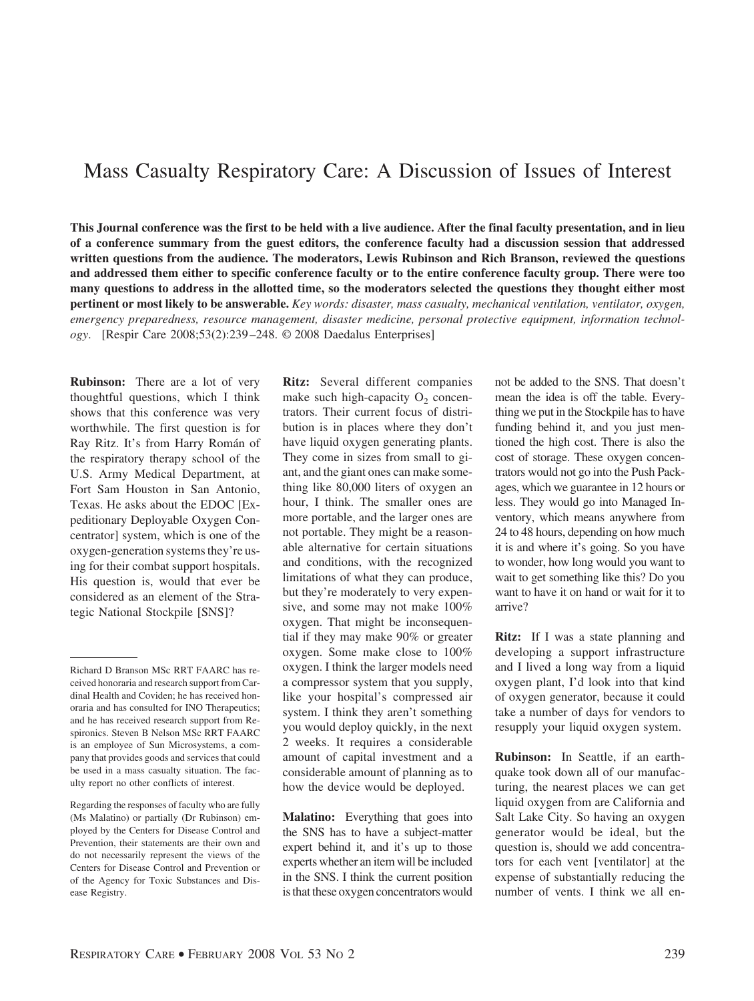## Mass Casualty Respiratory Care: A Discussion of Issues of Interest

**This Journal conference was the first to be held with a live audience. After the final faculty presentation, and in lieu of a conference summary from the guest editors, the conference faculty had a discussion session that addressed written questions from the audience. The moderators, Lewis Rubinson and Rich Branson, reviewed the questions and addressed them either to specific conference faculty or to the entire conference faculty group. There were too many questions to address in the allotted time, so the moderators selected the questions they thought either most pertinent or most likely to be answerable.** *Key words: disaster, mass casualty, mechanical ventilation, ventilator, oxygen, emergency preparedness, resource management, disaster medicine, personal protective equipment, information technology*. [Respir Care 2008;53(2):239 –248. © 2008 Daedalus Enterprises]

**Rubinson:** There are a lot of very thoughtful questions, which I think shows that this conference was very worthwhile. The first question is for Ray Ritz. It's from Harry Román of the respiratory therapy school of the U.S. Army Medical Department, at Fort Sam Houston in San Antonio, Texas. He asks about the EDOC [Expeditionary Deployable Oxygen Concentrator] system, which is one of the oxygen-generation systems they're using for their combat support hospitals. His question is, would that ever be considered as an element of the Strategic National Stockpile [SNS]?

**Ritz:** Several different companies make such high-capacity  $O<sub>2</sub>$  concentrators. Their current focus of distribution is in places where they don't have liquid oxygen generating plants. They come in sizes from small to giant, and the giant ones can make something like 80,000 liters of oxygen an hour, I think. The smaller ones are more portable, and the larger ones are not portable. They might be a reasonable alternative for certain situations and conditions, with the recognized limitations of what they can produce, but they're moderately to very expensive, and some may not make 100% oxygen. That might be inconsequential if they may make 90% or greater oxygen. Some make close to 100% oxygen. I think the larger models need a compressor system that you supply, like your hospital's compressed air system. I think they aren't something you would deploy quickly, in the next 2 weeks. It requires a considerable amount of capital investment and a considerable amount of planning as to how the device would be deployed.

**Malatino:** Everything that goes into the SNS has to have a subject-matter expert behind it, and it's up to those experts whether an item will be included in the SNS. I think the current position is that these oxygen concentrators would

not be added to the SNS. That doesn't mean the idea is off the table. Everything we put in the Stockpile has to have funding behind it, and you just mentioned the high cost. There is also the cost of storage. These oxygen concentrators would not go into the Push Packages, which we guarantee in 12 hours or less. They would go into Managed Inventory, which means anywhere from 24 to 48 hours, depending on how much it is and where it's going. So you have to wonder, how long would you want to wait to get something like this? Do you want to have it on hand or wait for it to arrive?

**Ritz:** If I was a state planning and developing a support infrastructure and I lived a long way from a liquid oxygen plant, I'd look into that kind of oxygen generator, because it could take a number of days for vendors to resupply your liquid oxygen system.

**Rubinson:** In Seattle, if an earthquake took down all of our manufacturing, the nearest places we can get liquid oxygen from are California and Salt Lake City. So having an oxygen generator would be ideal, but the question is, should we add concentrators for each vent [ventilator] at the expense of substantially reducing the number of vents. I think we all en-

Richard D Branson MSc RRT FAARC has received honoraria and research support from Cardinal Health and Coviden; he has received honoraria and has consulted for INO Therapeutics; and he has received research support from Respironics. Steven B Nelson MSc RRT FAARC is an employee of Sun Microsystems, a company that provides goods and services that could be used in a mass casualty situation. The faculty report no other conflicts of interest.

Regarding the responses of faculty who are fully (Ms Malatino) or partially (Dr Rubinson) employed by the Centers for Disease Control and Prevention, their statements are their own and do not necessarily represent the views of the Centers for Disease Control and Prevention or of the Agency for Toxic Substances and Disease Registry.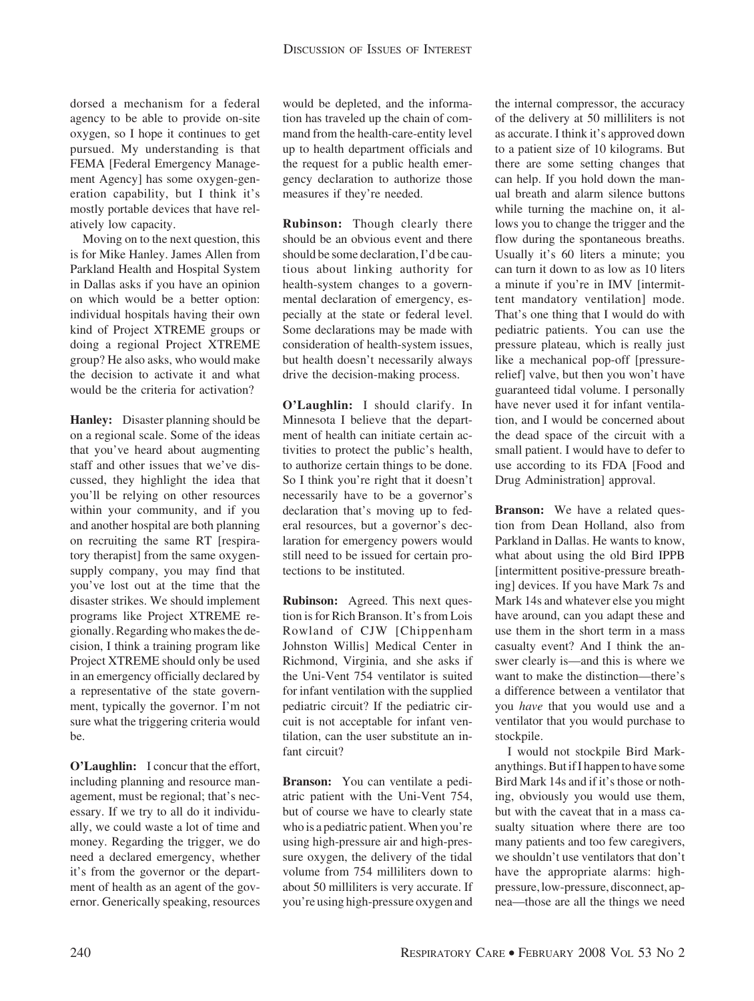dorsed a mechanism for a federal agency to be able to provide on-site oxygen, so I hope it continues to get pursued. My understanding is that FEMA [Federal Emergency Management Agency] has some oxygen-generation capability, but I think it's mostly portable devices that have relatively low capacity.

Moving on to the next question, this is for Mike Hanley. James Allen from Parkland Health and Hospital System in Dallas asks if you have an opinion on which would be a better option: individual hospitals having their own kind of Project XTREME groups or doing a regional Project XTREME group? He also asks, who would make the decision to activate it and what would be the criteria for activation?

**Hanley:** Disaster planning should be on a regional scale. Some of the ideas that you've heard about augmenting staff and other issues that we've discussed, they highlight the idea that you'll be relying on other resources within your community, and if you and another hospital are both planning on recruiting the same RT [respiratory therapist] from the same oxygensupply company, you may find that you've lost out at the time that the disaster strikes. We should implement programs like Project XTREME regionally. Regarding who makes the decision, I think a training program like Project XTREME should only be used in an emergency officially declared by a representative of the state government, typically the governor. I'm not sure what the triggering criteria would be.

**O'Laughlin:** I concur that the effort, including planning and resource management, must be regional; that's necessary. If we try to all do it individually, we could waste a lot of time and money. Regarding the trigger, we do need a declared emergency, whether it's from the governor or the department of health as an agent of the governor. Generically speaking, resources would be depleted, and the information has traveled up the chain of command from the health-care-entity level up to health department officials and the request for a public health emergency declaration to authorize those measures if they're needed.

**Rubinson:** Though clearly there should be an obvious event and there should be some declaration, I'd be cautious about linking authority for health-system changes to a governmental declaration of emergency, especially at the state or federal level. Some declarations may be made with consideration of health-system issues, but health doesn't necessarily always drive the decision-making process.

**O'Laughlin:** I should clarify. In Minnesota I believe that the department of health can initiate certain activities to protect the public's health, to authorize certain things to be done. So I think you're right that it doesn't necessarily have to be a governor's declaration that's moving up to federal resources, but a governor's declaration for emergency powers would still need to be issued for certain protections to be instituted.

**Rubinson:** Agreed. This next question is for Rich Branson. It's from Lois Rowland of CJW [Chippenham Johnston Willis] Medical Center in Richmond, Virginia, and she asks if the Uni-Vent 754 ventilator is suited for infant ventilation with the supplied pediatric circuit? If the pediatric circuit is not acceptable for infant ventilation, can the user substitute an infant circuit?

**Branson:** You can ventilate a pediatric patient with the Uni-Vent 754, but of course we have to clearly state who is a pediatric patient.When you're using high-pressure air and high-pressure oxygen, the delivery of the tidal volume from 754 milliliters down to about 50 milliliters is very accurate. If you're using high-pressure oxygen and

the internal compressor, the accuracy of the delivery at 50 milliliters is not as accurate. I think it's approved down to a patient size of 10 kilograms. But there are some setting changes that can help. If you hold down the manual breath and alarm silence buttons while turning the machine on, it allows you to change the trigger and the flow during the spontaneous breaths. Usually it's 60 liters a minute; you can turn it down to as low as 10 liters a minute if you're in IMV [intermittent mandatory ventilation] mode. That's one thing that I would do with pediatric patients. You can use the pressure plateau, which is really just like a mechanical pop-off [pressurerelief] valve, but then you won't have guaranteed tidal volume. I personally have never used it for infant ventilation, and I would be concerned about the dead space of the circuit with a small patient. I would have to defer to use according to its FDA [Food and Drug Administration] approval.

**Branson:** We have a related question from Dean Holland, also from Parkland in Dallas. He wants to know, what about using the old Bird IPPB [intermittent positive-pressure breathing] devices. If you have Mark 7s and Mark 14s and whatever else you might have around, can you adapt these and use them in the short term in a mass casualty event? And I think the answer clearly is—and this is where we want to make the distinction—there's a difference between a ventilator that you *have* that you would use and a ventilator that you would purchase to stockpile.

I would not stockpile Bird Markanythings. But if I happen to have some Bird Mark 14s and if it's those or nothing, obviously you would use them, but with the caveat that in a mass casualty situation where there are too many patients and too few caregivers, we shouldn't use ventilators that don't have the appropriate alarms: highpressure, low-pressure, disconnect, apnea—those are all the things we need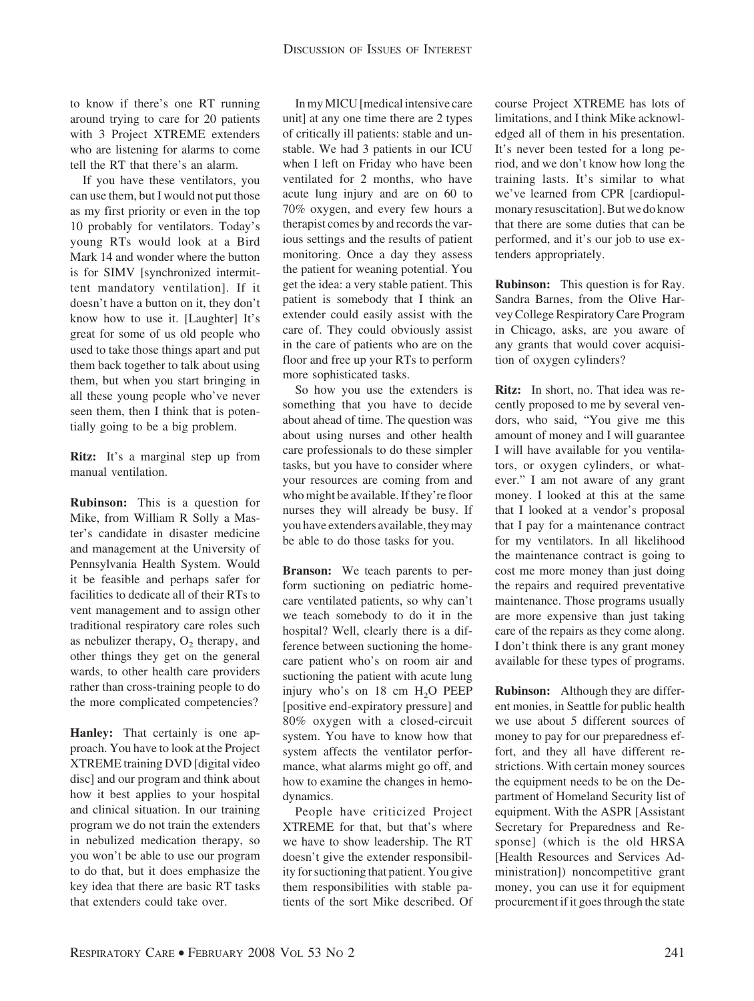to know if there's one RT running around trying to care for 20 patients with 3 Project XTREME extenders who are listening for alarms to come tell the RT that there's an alarm.

If you have these ventilators, you can use them, but I would not put those as my first priority or even in the top 10 probably for ventilators. Today's young RTs would look at a Bird Mark 14 and wonder where the button is for SIMV [synchronized intermittent mandatory ventilation]. If it doesn't have a button on it, they don't know how to use it. [Laughter] It's great for some of us old people who used to take those things apart and put them back together to talk about using them, but when you start bringing in all these young people who've never seen them, then I think that is potentially going to be a big problem.

**Ritz:** It's a marginal step up from manual ventilation.

**Rubinson:** This is a question for Mike, from William R Solly a Master's candidate in disaster medicine and management at the University of Pennsylvania Health System. Would it be feasible and perhaps safer for facilities to dedicate all of their RTs to vent management and to assign other traditional respiratory care roles such as nebulizer therapy,  $O<sub>2</sub>$  therapy, and other things they get on the general wards, to other health care providers rather than cross-training people to do the more complicated competencies?

**Hanley:** That certainly is one approach. You have to look at the Project XTREME training DVD [digital video disc] and our program and think about how it best applies to your hospital and clinical situation. In our training program we do not train the extenders in nebulized medication therapy, so you won't be able to use our program to do that, but it does emphasize the key idea that there are basic RT tasks that extenders could take over.

In myMICU [medical intensive care unit] at any one time there are 2 types of critically ill patients: stable and unstable. We had 3 patients in our ICU when I left on Friday who have been ventilated for 2 months, who have acute lung injury and are on 60 to 70% oxygen, and every few hours a therapist comes by and records the various settings and the results of patient monitoring. Once a day they assess the patient for weaning potential. You get the idea: a very stable patient. This patient is somebody that I think an extender could easily assist with the care of. They could obviously assist in the care of patients who are on the floor and free up your RTs to perform more sophisticated tasks.

So how you use the extenders is something that you have to decide about ahead of time. The question was about using nurses and other health care professionals to do these simpler tasks, but you have to consider where your resources are coming from and who might be available. If they're floor nurses they will already be busy. If you have extenders available, they may be able to do those tasks for you.

**Branson:** We teach parents to perform suctioning on pediatric homecare ventilated patients, so why can't we teach somebody to do it in the hospital? Well, clearly there is a difference between suctioning the homecare patient who's on room air and suctioning the patient with acute lung injury who's on  $18 \text{ cm } H_2O$  PEEP [positive end-expiratory pressure] and 80% oxygen with a closed-circuit system. You have to know how that system affects the ventilator performance, what alarms might go off, and how to examine the changes in hemodynamics.

People have criticized Project XTREME for that, but that's where we have to show leadership. The RT doesn't give the extender responsibility for suctioning that patient. You give them responsibilities with stable patients of the sort Mike described. Of course Project XTREME has lots of limitations, and I think Mike acknowledged all of them in his presentation. It's never been tested for a long period, and we don't know how long the training lasts. It's similar to what we've learned from CPR [cardiopulmonary resuscitation]. But we do know that there are some duties that can be performed, and it's our job to use extenders appropriately.

**Rubinson:** This question is for Ray. Sandra Barnes, from the Olive Harvey College Respiratory Care Program in Chicago, asks, are you aware of any grants that would cover acquisition of oxygen cylinders?

**Ritz:** In short, no. That idea was recently proposed to me by several vendors, who said, "You give me this amount of money and I will guarantee I will have available for you ventilators, or oxygen cylinders, or whatever." I am not aware of any grant money. I looked at this at the same that I looked at a vendor's proposal that I pay for a maintenance contract for my ventilators. In all likelihood the maintenance contract is going to cost me more money than just doing the repairs and required preventative maintenance. Those programs usually are more expensive than just taking care of the repairs as they come along. I don't think there is any grant money available for these types of programs.

**Rubinson:** Although they are different monies, in Seattle for public health we use about 5 different sources of money to pay for our preparedness effort, and they all have different restrictions. With certain money sources the equipment needs to be on the Department of Homeland Security list of equipment. With the ASPR [Assistant Secretary for Preparedness and Response] (which is the old HRSA [Health Resources and Services Administration]) noncompetitive grant money, you can use it for equipment procurement if it goes through the state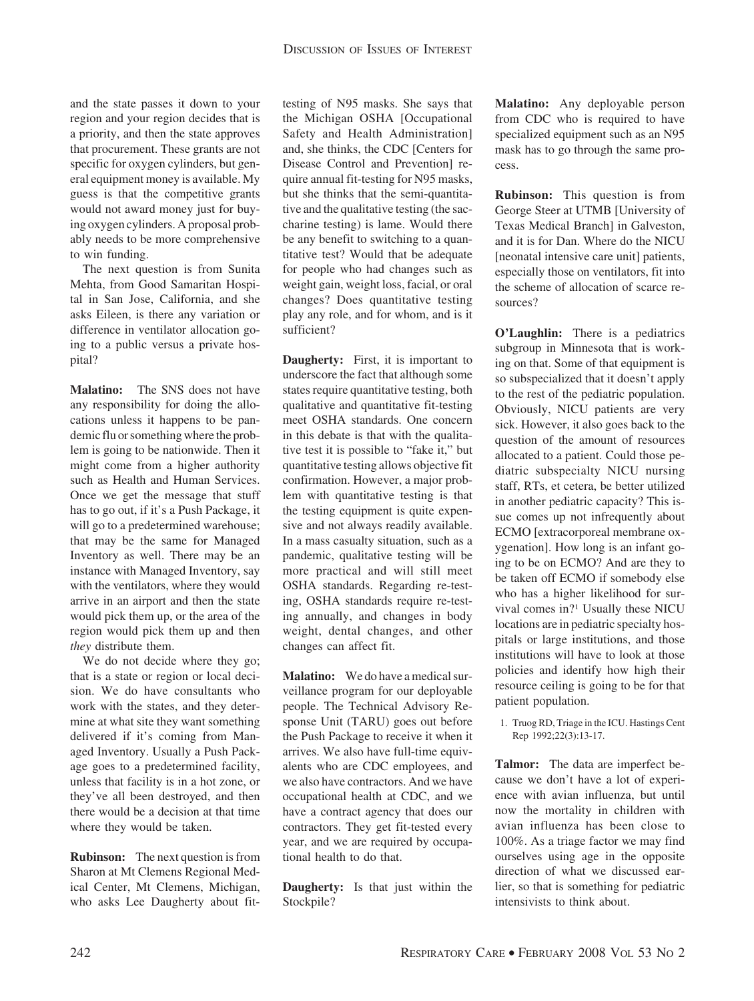and the state passes it down to your region and your region decides that is a priority, and then the state approves that procurement. These grants are not specific for oxygen cylinders, but general equipment money is available. My guess is that the competitive grants would not award money just for buying oxygen cylinders. A proposal probably needs to be more comprehensive to win funding.

The next question is from Sunita Mehta, from Good Samaritan Hospital in San Jose, California, and she asks Eileen, is there any variation or difference in ventilator allocation going to a public versus a private hospital?

**Malatino:** The SNS does not have any responsibility for doing the allocations unless it happens to be pandemic flu or something where the problem is going to be nationwide. Then it might come from a higher authority such as Health and Human Services. Once we get the message that stuff has to go out, if it's a Push Package, it will go to a predetermined warehouse; that may be the same for Managed Inventory as well. There may be an instance with Managed Inventory, say with the ventilators, where they would arrive in an airport and then the state would pick them up, or the area of the region would pick them up and then *they* distribute them.

We do not decide where they go; that is a state or region or local decision. We do have consultants who work with the states, and they determine at what site they want something delivered if it's coming from Managed Inventory. Usually a Push Package goes to a predetermined facility, unless that facility is in a hot zone, or they've all been destroyed, and then there would be a decision at that time where they would be taken.

**Rubinson:** The next question is from Sharon at Mt Clemens Regional Medical Center, Mt Clemens, Michigan, who asks Lee Daugherty about fittesting of N95 masks. She says that the Michigan OSHA [Occupational Safety and Health Administration] and, she thinks, the CDC [Centers for Disease Control and Prevention] require annual fit-testing for N95 masks, but she thinks that the semi-quantitative and the qualitative testing (the saccharine testing) is lame. Would there be any benefit to switching to a quantitative test? Would that be adequate for people who had changes such as weight gain, weight loss, facial, or oral changes? Does quantitative testing play any role, and for whom, and is it sufficient?

**Daugherty:** First, it is important to underscore the fact that although some states require quantitative testing, both qualitative and quantitative fit-testing meet OSHA standards. One concern in this debate is that with the qualitative test it is possible to "fake it," but quantitative testing allows objective fit confirmation. However, a major problem with quantitative testing is that the testing equipment is quite expensive and not always readily available. In a mass casualty situation, such as a pandemic, qualitative testing will be more practical and will still meet OSHA standards. Regarding re-testing, OSHA standards require re-testing annually, and changes in body weight, dental changes, and other changes can affect fit.

**Malatino:** We do have a medical surveillance program for our deployable people. The Technical Advisory Response Unit (TARU) goes out before the Push Package to receive it when it arrives. We also have full-time equivalents who are CDC employees, and we also have contractors. And we have occupational health at CDC, and we have a contract agency that does our contractors. They get fit-tested every year, and we are required by occupational health to do that.

**Daugherty:** Is that just within the Stockpile?

**Malatino:** Any deployable person from CDC who is required to have specialized equipment such as an N95 mask has to go through the same process.

**Rubinson:** This question is from George Steer at UTMB [University of Texas Medical Branch] in Galveston, and it is for Dan. Where do the NICU [neonatal intensive care unit] patients, especially those on ventilators, fit into the scheme of allocation of scarce resources?

**O'Laughlin:** There is a pediatrics subgroup in Minnesota that is working on that. Some of that equipment is so subspecialized that it doesn't apply to the rest of the pediatric population. Obviously, NICU patients are very sick. However, it also goes back to the question of the amount of resources allocated to a patient. Could those pediatric subspecialty NICU nursing staff, RTs, et cetera, be better utilized in another pediatric capacity? This issue comes up not infrequently about ECMO [extracorporeal membrane oxygenation]. How long is an infant going to be on ECMO? And are they to be taken off ECMO if somebody else who has a higher likelihood for survival comes in?1 Usually these NICU locations are in pediatric specialty hospitals or large institutions, and those institutions will have to look at those policies and identify how high their resource ceiling is going to be for that patient population.

1. Truog RD, Triage in the ICU. Hastings Cent Rep 1992;22(3):13-17.

**Talmor:** The data are imperfect because we don't have a lot of experience with avian influenza, but until now the mortality in children with avian influenza has been close to 100%. As a triage factor we may find ourselves using age in the opposite direction of what we discussed earlier, so that is something for pediatric intensivists to think about.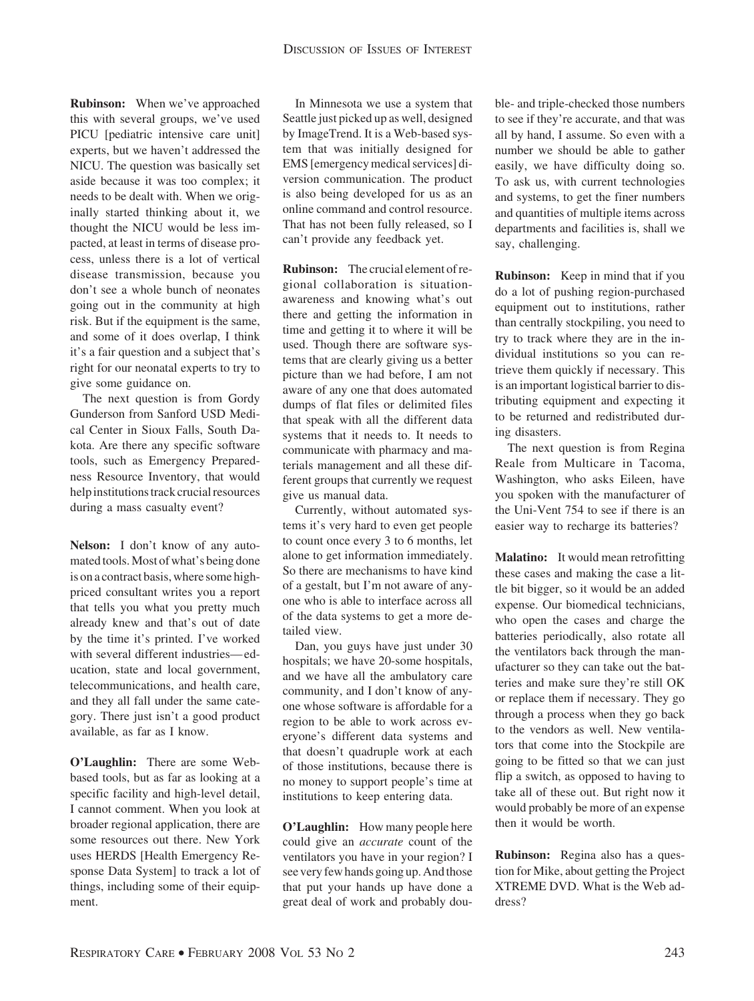**Rubinson:** When we've approached this with several groups, we've used PICU [pediatric intensive care unit] experts, but we haven't addressed the NICU. The question was basically set aside because it was too complex; it needs to be dealt with. When we originally started thinking about it, we thought the NICU would be less impacted, at least in terms of disease process, unless there is a lot of vertical disease transmission, because you don't see a whole bunch of neonates going out in the community at high risk. But if the equipment is the same, and some of it does overlap, I think it's a fair question and a subject that's right for our neonatal experts to try to give some guidance on.

The next question is from Gordy Gunderson from Sanford USD Medical Center in Sioux Falls, South Dakota. Are there any specific software tools, such as Emergency Preparedness Resource Inventory, that would help institutions track crucial resources during a mass casualty event?

**Nelson:** I don't know of any automated tools.Most of what's being done is on a contract basis, where some highpriced consultant writes you a report that tells you what you pretty much already knew and that's out of date by the time it's printed. I've worked with several different industries— education, state and local government, telecommunications, and health care, and they all fall under the same category. There just isn't a good product available, as far as I know.

**O'Laughlin:** There are some Webbased tools, but as far as looking at a specific facility and high-level detail, I cannot comment. When you look at broader regional application, there are some resources out there. New York uses HERDS [Health Emergency Response Data System] to track a lot of things, including some of their equipment.

In Minnesota we use a system that Seattle just picked up as well, designed by ImageTrend. It is a Web-based system that was initially designed for EMS [emergency medical services] diversion communication. The product is also being developed for us as an online command and control resource. That has not been fully released, so I can't provide any feedback yet.

**Rubinson:** The crucial element of regional collaboration is situationawareness and knowing what's out there and getting the information in time and getting it to where it will be used. Though there are software systems that are clearly giving us a better picture than we had before, I am not aware of any one that does automated dumps of flat files or delimited files that speak with all the different data systems that it needs to. It needs to communicate with pharmacy and materials management and all these different groups that currently we request give us manual data.

Currently, without automated systems it's very hard to even get people to count once every 3 to 6 months, let alone to get information immediately. So there are mechanisms to have kind of a gestalt, but I'm not aware of anyone who is able to interface across all of the data systems to get a more detailed view.

Dan, you guys have just under 30 hospitals; we have 20-some hospitals, and we have all the ambulatory care community, and I don't know of anyone whose software is affordable for a region to be able to work across everyone's different data systems and that doesn't quadruple work at each of those institutions, because there is no money to support people's time at institutions to keep entering data.

**O'Laughlin:** How many people here could give an *accurate* count of the ventilators you have in your region? I see very few hands going up. And those that put your hands up have done a great deal of work and probably dou-

ble- and triple-checked those numbers to see if they're accurate, and that was all by hand, I assume. So even with a number we should be able to gather easily, we have difficulty doing so. To ask us, with current technologies and systems, to get the finer numbers and quantities of multiple items across departments and facilities is, shall we say, challenging.

**Rubinson:** Keep in mind that if you do a lot of pushing region-purchased equipment out to institutions, rather than centrally stockpiling, you need to try to track where they are in the individual institutions so you can retrieve them quickly if necessary. This is an important logistical barrier to distributing equipment and expecting it to be returned and redistributed during disasters.

The next question is from Regina Reale from Multicare in Tacoma, Washington, who asks Eileen, have you spoken with the manufacturer of the Uni-Vent 754 to see if there is an easier way to recharge its batteries?

**Malatino:** It would mean retrofitting these cases and making the case a little bit bigger, so it would be an added expense. Our biomedical technicians, who open the cases and charge the batteries periodically, also rotate all the ventilators back through the manufacturer so they can take out the batteries and make sure they're still OK or replace them if necessary. They go through a process when they go back to the vendors as well. New ventilators that come into the Stockpile are going to be fitted so that we can just flip a switch, as opposed to having to take all of these out. But right now it would probably be more of an expense then it would be worth.

**Rubinson:** Regina also has a question for Mike, about getting the Project XTREME DVD. What is the Web address?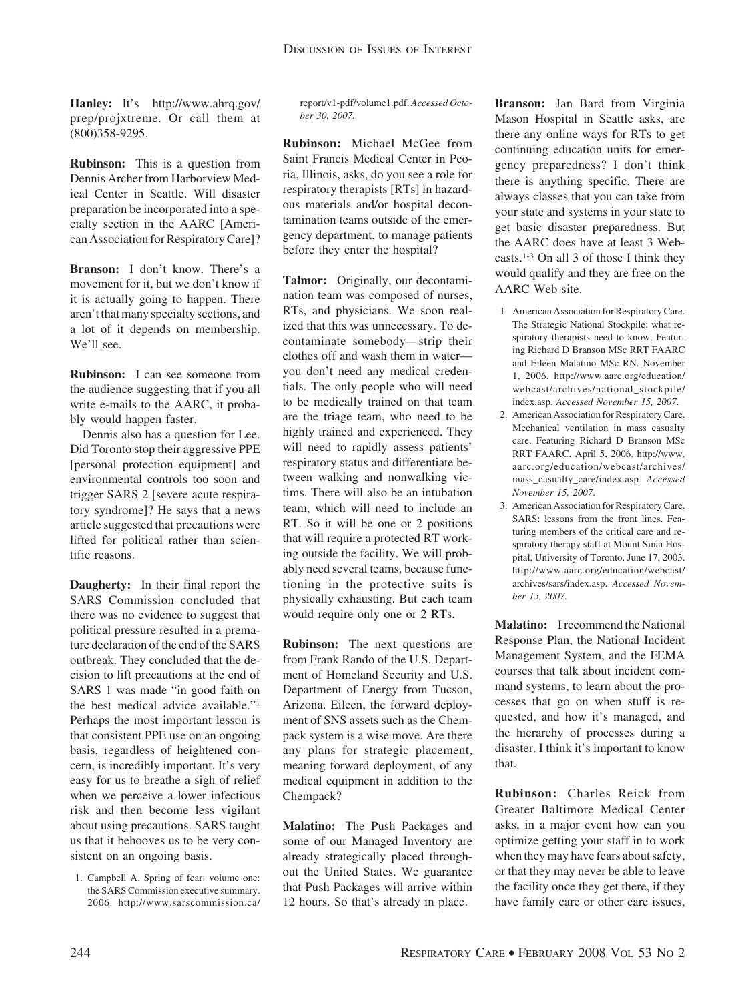**Hanley:** It's http://www.ahrq.gov/ prep/projxtreme. Or call them at (800)358-9295.

**Rubinson:** This is a question from Dennis Archer from Harborview Medical Center in Seattle. Will disaster preparation be incorporated into a specialty section in the AARC [American Association for Respiratory Care]?

**Branson:** I don't know. There's a movement for it, but we don't know if it is actually going to happen. There aren'tthat many specialty sections, and a lot of it depends on membership. We'll see.

**Rubinson:** I can see someone from the audience suggesting that if you all write e-mails to the AARC, it probably would happen faster.

Dennis also has a question for Lee. Did Toronto stop their aggressive PPE [personal protection equipment] and environmental controls too soon and trigger SARS 2 [severe acute respiratory syndrome]? He says that a news article suggested that precautions were lifted for political rather than scientific reasons.

**Daugherty:** In their final report the SARS Commission concluded that there was no evidence to suggest that political pressure resulted in a premature declaration of the end of the SARS outbreak. They concluded that the decision to lift precautions at the end of SARS 1 was made "in good faith on the best medical advice available."1 Perhaps the most important lesson is that consistent PPE use on an ongoing basis, regardless of heightened concern, is incredibly important. It's very easy for us to breathe a sigh of relief when we perceive a lower infectious risk and then become less vigilant about using precautions. SARS taught us that it behooves us to be very consistent on an ongoing basis.

1. Campbell A. Spring of fear: volume one: the SARS Commission executive summary. 2006. http://www.sarscommission.ca/ report/v1-pdf/volume1.pdf. *Accessed October 30, 2007.*

**Rubinson:** Michael McGee from Saint Francis Medical Center in Peoria, Illinois, asks, do you see a role for respiratory therapists [RTs] in hazardous materials and/or hospital decontamination teams outside of the emergency department, to manage patients before they enter the hospital?

**Talmor:** Originally, our decontamination team was composed of nurses, RTs, and physicians. We soon realized that this was unnecessary. To decontaminate somebody—strip their clothes off and wash them in water you don't need any medical credentials. The only people who will need to be medically trained on that team are the triage team, who need to be highly trained and experienced. They will need to rapidly assess patients' respiratory status and differentiate between walking and nonwalking victims. There will also be an intubation team, which will need to include an RT. So it will be one or 2 positions that will require a protected RT working outside the facility. We will probably need several teams, because functioning in the protective suits is physically exhausting. But each team would require only one or 2 RTs.

**Rubinson:** The next questions are from Frank Rando of the U.S. Department of Homeland Security and U.S. Department of Energy from Tucson, Arizona. Eileen, the forward deployment of SNS assets such as the Chempack system is a wise move. Are there any plans for strategic placement, meaning forward deployment, of any medical equipment in addition to the Chempack?

**Malatino:** The Push Packages and some of our Managed Inventory are already strategically placed throughout the United States. We guarantee that Push Packages will arrive within 12 hours. So that's already in place.

**Branson:** Jan Bard from Virginia Mason Hospital in Seattle asks, are there any online ways for RTs to get continuing education units for emergency preparedness? I don't think there is anything specific. There are always classes that you can take from your state and systems in your state to get basic disaster preparedness. But the AARC does have at least 3 Webcasts.1-3 On all 3 of those I think they would qualify and they are free on the AARC Web site.

- 1. American Association for Respiratory Care. The Strategic National Stockpile: what respiratory therapists need to know. Featuring Richard D Branson MSc RRT FAARC and Eileen Malatino MSc RN. November 1, 2006. http://www.aarc.org/education/ webcast/archives/national\_stockpile/ index.asp. *Accessed November 15, 2007*.
- 2. American Association for Respiratory Care. Mechanical ventilation in mass casualty care. Featuring Richard D Branson MSc RRT FAARC. April 5, 2006. http://www. aarc.org/education/webcast/archives/ mass\_casualty\_care/index.asp. *Accessed November 15, 2007*.
- 3. American Association for Respiratory Care. SARS: lessons from the front lines. Featuring members of the critical care and respiratory therapy staff at Mount Sinai Hospital, University of Toronto. June 17, 2003. http://www.aarc.org/education/webcast/ archives/sars/index.asp. *Accessed November 15, 2007.*

**Malatino:** I recommend the National Response Plan, the National Incident Management System, and the FEMA courses that talk about incident command systems, to learn about the processes that go on when stuff is requested, and how it's managed, and the hierarchy of processes during a disaster. I think it's important to know that.

**Rubinson:** Charles Reick from Greater Baltimore Medical Center asks, in a major event how can you optimize getting your staff in to work when they may have fears about safety, or that they may never be able to leave the facility once they get there, if they have family care or other care issues,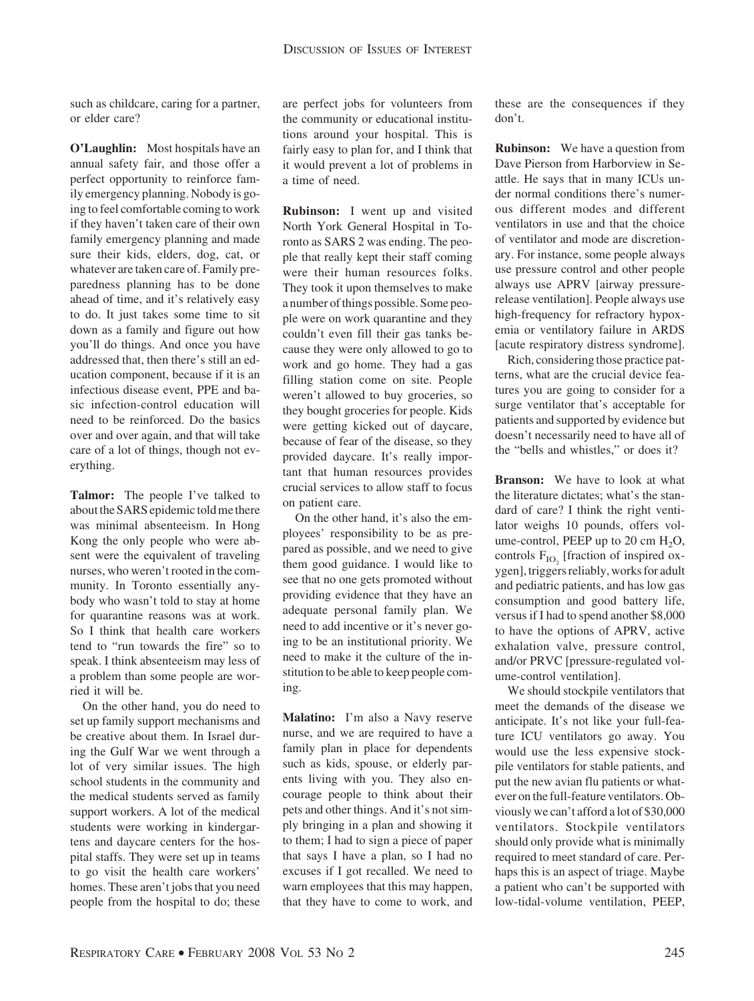such as childcare, caring for a partner, or elder care?

**O'Laughlin:** Most hospitals have an annual safety fair, and those offer a perfect opportunity to reinforce family emergency planning. Nobody is going to feel comfortable coming to work if they haven't taken care of their own family emergency planning and made sure their kids, elders, dog, cat, or whatever are taken care of. Family preparedness planning has to be done ahead of time, and it's relatively easy to do. It just takes some time to sit down as a family and figure out how you'll do things. And once you have addressed that, then there's still an education component, because if it is an infectious disease event, PPE and basic infection-control education will need to be reinforced. Do the basics over and over again, and that will take care of a lot of things, though not everything.

**Talmor:** The people I've talked to about the SARS epidemic told me there was minimal absenteeism. In Hong Kong the only people who were absent were the equivalent of traveling nurses, who weren't rooted in the community. In Toronto essentially anybody who wasn't told to stay at home for quarantine reasons was at work. So I think that health care workers tend to "run towards the fire" so to speak. I think absenteeism may less of a problem than some people are worried it will be.

On the other hand, you do need to set up family support mechanisms and be creative about them. In Israel during the Gulf War we went through a lot of very similar issues. The high school students in the community and the medical students served as family support workers. A lot of the medical students were working in kindergartens and daycare centers for the hospital staffs. They were set up in teams to go visit the health care workers' homes. These aren't jobs that you need people from the hospital to do; these

are perfect jobs for volunteers from the community or educational institutions around your hospital. This is fairly easy to plan for, and I think that it would prevent a lot of problems in a time of need.

**Rubinson:** I went up and visited North York General Hospital in Toronto as SARS 2 was ending. The people that really kept their staff coming were their human resources folks. They took it upon themselves to make a number of things possible. Some people were on work quarantine and they couldn't even fill their gas tanks because they were only allowed to go to work and go home. They had a gas filling station come on site. People weren't allowed to buy groceries, so they bought groceries for people. Kids were getting kicked out of daycare, because of fear of the disease, so they provided daycare. It's really important that human resources provides crucial services to allow staff to focus on patient care.

On the other hand, it's also the employees' responsibility to be as prepared as possible, and we need to give them good guidance. I would like to see that no one gets promoted without providing evidence that they have an adequate personal family plan. We need to add incentive or it's never going to be an institutional priority. We need to make it the culture of the institution to be able to keep people coming.

**Malatino:** I'm also a Navy reserve nurse, and we are required to have a family plan in place for dependents such as kids, spouse, or elderly parents living with you. They also encourage people to think about their pets and other things. And it's not simply bringing in a plan and showing it to them; I had to sign a piece of paper that says I have a plan, so I had no excuses if I got recalled. We need to warn employees that this may happen, that they have to come to work, and these are the consequences if they don't.

**Rubinson:** We have a question from Dave Pierson from Harborview in Seattle. He says that in many ICUs under normal conditions there's numerous different modes and different ventilators in use and that the choice of ventilator and mode are discretionary. For instance, some people always use pressure control and other people always use APRV [airway pressurerelease ventilation]. People always use high-frequency for refractory hypoxemia or ventilatory failure in ARDS [acute respiratory distress syndrome].

Rich, considering those practice patterns, what are the crucial device features you are going to consider for a surge ventilator that's acceptable for patients and supported by evidence but doesn't necessarily need to have all of the "bells and whistles," or does it?

**Branson:** We have to look at what the literature dictates; what's the standard of care? I think the right ventilator weighs 10 pounds, offers volume-control, PEEP up to 20 cm  $H_2O$ , controls  $F_{IO}$  [fraction of inspired oxygen], triggers reliably, works for adult and pediatric patients, and has low gas consumption and good battery life, versus if I had to spend another \$8,000 to have the options of APRV, active exhalation valve, pressure control, and/or PRVC [pressure-regulated volume-control ventilation].

We should stockpile ventilators that meet the demands of the disease we anticipate. It's not like your full-feature ICU ventilators go away. You would use the less expensive stockpile ventilators for stable patients, and put the new avian flu patients or whatever on the full-feature ventilators. Obviously we can't afford a lot of \$30,000 ventilators. Stockpile ventilators should only provide what is minimally required to meet standard of care. Perhaps this is an aspect of triage. Maybe a patient who can't be supported with low-tidal-volume ventilation, PEEP,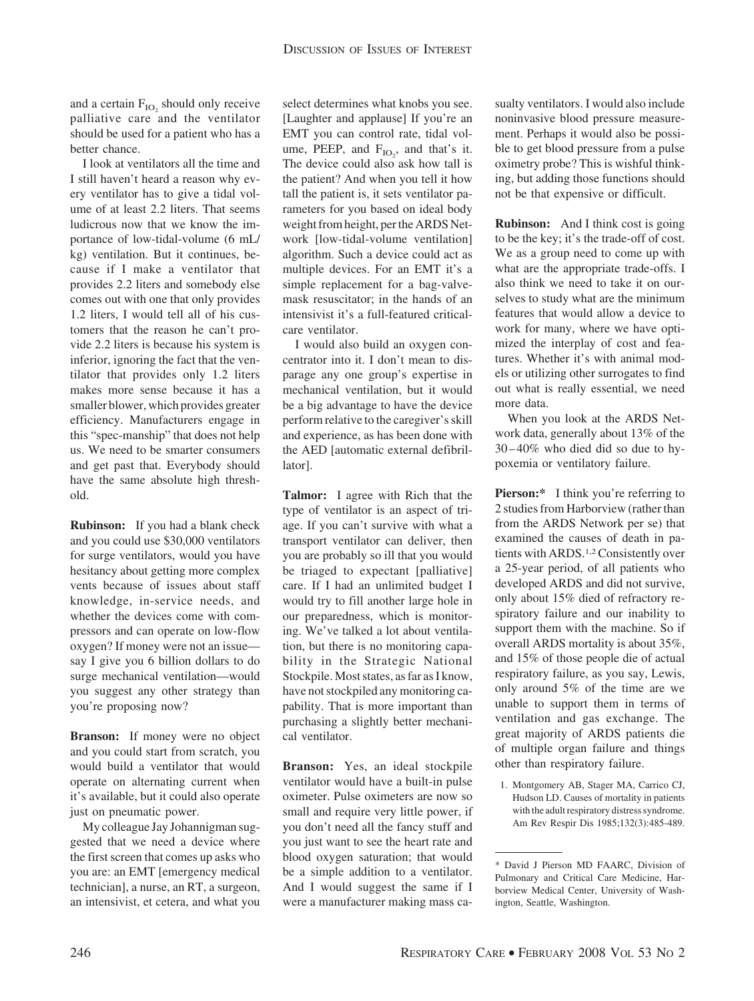and a certain  $F_{IO}$ , should only receive palliative care and the ventilator should be used for a patient who has a better chance.

I look at ventilators all the time and I still haven't heard a reason why every ventilator has to give a tidal volume of at least 2.2 liters. That seems ludicrous now that we know the importance of low-tidal-volume (6 mL/ kg) ventilation. But it continues, because if I make a ventilator that provides 2.2 liters and somebody else comes out with one that only provides 1.2 liters, I would tell all of his customers that the reason he can't provide 2.2 liters is because his system is inferior, ignoring the fact that the ventilator that provides only 1.2 liters makes more sense because it has a smaller blower, which provides greater efficiency. Manufacturers engage in this "spec-manship" that does not help us. We need to be smarter consumers and get past that. Everybody should have the same absolute high threshold.

**Rubinson:** If you had a blank check and you could use \$30,000 ventilators for surge ventilators, would you have hesitancy about getting more complex vents because of issues about staff knowledge, in-service needs, and whether the devices come with compressors and can operate on low-flow oxygen? If money were not an issue say I give you 6 billion dollars to do surge mechanical ventilation—would you suggest any other strategy than you're proposing now?

**Branson:** If money were no object and you could start from scratch, you would build a ventilator that would operate on alternating current when it's available, but it could also operate just on pneumatic power.

My colleague Jay Johannigman suggested that we need a device where the first screen that comes up asks who you are: an EMT [emergency medical technician], a nurse, an RT, a surgeon, an intensivist, et cetera, and what you select determines what knobs you see. [Laughter and applause] If you're an EMT you can control rate, tidal volume, PEEP, and  $F_{IO_2}$ , and that's it. The device could also ask how tall is the patient? And when you tell it how tall the patient is, it sets ventilator parameters for you based on ideal body weight from height, per the ARDS Network [low-tidal-volume ventilation] algorithm. Such a device could act as multiple devices. For an EMT it's a simple replacement for a bag-valvemask resuscitator; in the hands of an intensivist it's a full-featured criticalcare ventilator.

I would also build an oxygen concentrator into it. I don't mean to disparage any one group's expertise in mechanical ventilation, but it would be a big advantage to have the device perform relative to the caregiver's skill and experience, as has been done with the AED [automatic external defibrillator].

**Talmor:** I agree with Rich that the type of ventilator is an aspect of triage. If you can't survive with what a transport ventilator can deliver, then you are probably so ill that you would be triaged to expectant [palliative] care. If I had an unlimited budget I would try to fill another large hole in our preparedness, which is monitoring. We've talked a lot about ventilation, but there is no monitoring capability in the Strategic National Stockpile. Most states, as far as I know, have not stockpiled any monitoring capability. That is more important than purchasing a slightly better mechanical ventilator.

**Branson:** Yes, an ideal stockpile ventilator would have a built-in pulse oximeter. Pulse oximeters are now so small and require very little power, if you don't need all the fancy stuff and you just want to see the heart rate and blood oxygen saturation; that would be a simple addition to a ventilator. And I would suggest the same if I were a manufacturer making mass casualty ventilators. I would also include noninvasive blood pressure measurement. Perhaps it would also be possible to get blood pressure from a pulse oximetry probe? This is wishful thinking, but adding those functions should not be that expensive or difficult.

**Rubinson:** And I think cost is going to be the key; it's the trade-off of cost. We as a group need to come up with what are the appropriate trade-offs. I also think we need to take it on ourselves to study what are the minimum features that would allow a device to work for many, where we have optimized the interplay of cost and features. Whether it's with animal models or utilizing other surrogates to find out what is really essential, we need more data.

When you look at the ARDS Network data, generally about 13% of the 30 – 40% who died did so due to hypoxemia or ventilatory failure.

**Pierson:**\* I think you're referring to 2 studies from Harborview (rather than from the ARDS Network per se) that examined the causes of death in patients with ARDS.<sup>1,2</sup> Consistently over a 25-year period, of all patients who developed ARDS and did not survive, only about 15% died of refractory respiratory failure and our inability to support them with the machine. So if overall ARDS mortality is about 35%, and 15% of those people die of actual respiratory failure, as you say, Lewis, only around 5% of the time are we unable to support them in terms of ventilation and gas exchange. The great majority of ARDS patients die of multiple organ failure and things other than respiratory failure.

1. Montgomery AB, Stager MA, Carrico CJ, Hudson LD. Causes of mortality in patients with the adult respiratory distress syndrome. Am Rev Respir Dis 1985;132(3):485-489.

<sup>\*</sup> David J Pierson MD FAARC, Division of Pulmonary and Critical Care Medicine, Harborview Medical Center, University of Washington, Seattle, Washington.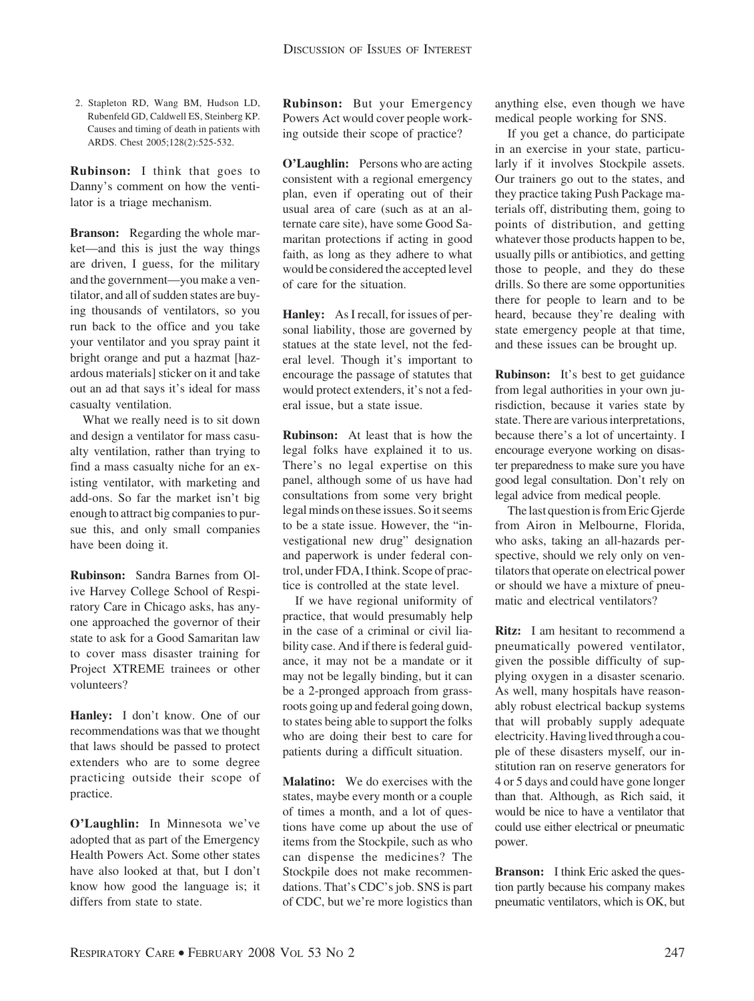2. Stapleton RD, Wang BM, Hudson LD, Rubenfeld GD, Caldwell ES, Steinberg KP. Causes and timing of death in patients with ARDS. Chest 2005;128(2):525-532.

**Rubinson:** I think that goes to Danny's comment on how the ventilator is a triage mechanism.

**Branson:** Regarding the whole market—and this is just the way things are driven, I guess, for the military and the government—you make a ventilator, and all of sudden states are buying thousands of ventilators, so you run back to the office and you take your ventilator and you spray paint it bright orange and put a hazmat [hazardous materials] sticker on it and take out an ad that says it's ideal for mass casualty ventilation.

What we really need is to sit down and design a ventilator for mass casualty ventilation, rather than trying to find a mass casualty niche for an existing ventilator, with marketing and add-ons. So far the market isn't big enough to attract big companies to pursue this, and only small companies have been doing it.

**Rubinson:** Sandra Barnes from Olive Harvey College School of Respiratory Care in Chicago asks, has anyone approached the governor of their state to ask for a Good Samaritan law to cover mass disaster training for Project XTREME trainees or other volunteers?

**Hanley:** I don't know. One of our recommendations was that we thought that laws should be passed to protect extenders who are to some degree practicing outside their scope of practice.

**O'Laughlin:** In Minnesota we've adopted that as part of the Emergency Health Powers Act. Some other states have also looked at that, but I don't know how good the language is; it differs from state to state.

**Rubinson:** But your Emergency Powers Act would cover people working outside their scope of practice?

**O'Laughlin:** Persons who are acting consistent with a regional emergency plan, even if operating out of their usual area of care (such as at an alternate care site), have some Good Samaritan protections if acting in good faith, as long as they adhere to what would be considered the accepted level of care for the situation.

**Hanley:** As I recall, for issues of personal liability, those are governed by statues at the state level, not the federal level. Though it's important to encourage the passage of statutes that would protect extenders, it's not a federal issue, but a state issue.

**Rubinson:** At least that is how the legal folks have explained it to us. There's no legal expertise on this panel, although some of us have had consultations from some very bright legal minds on these issues. So it seems to be a state issue. However, the "investigational new drug" designation and paperwork is under federal control, under FDA, I think. Scope of practice is controlled at the state level.

If we have regional uniformity of practice, that would presumably help in the case of a criminal or civil liability case. And if there is federal guidance, it may not be a mandate or it may not be legally binding, but it can be a 2-pronged approach from grassroots going up and federal going down, to states being able to support the folks who are doing their best to care for patients during a difficult situation.

**Malatino:** We do exercises with the states, maybe every month or a couple of times a month, and a lot of questions have come up about the use of items from the Stockpile, such as who can dispense the medicines? The Stockpile does not make recommendations. That's CDC's job. SNS is part of CDC, but we're more logistics than anything else, even though we have medical people working for SNS.

If you get a chance, do participate in an exercise in your state, particularly if it involves Stockpile assets. Our trainers go out to the states, and they practice taking Push Package materials off, distributing them, going to points of distribution, and getting whatever those products happen to be, usually pills or antibiotics, and getting those to people, and they do these drills. So there are some opportunities there for people to learn and to be heard, because they're dealing with state emergency people at that time, and these issues can be brought up.

**Rubinson:** It's best to get guidance from legal authorities in your own jurisdiction, because it varies state by state. There are various interpretations, because there's a lot of uncertainty. I encourage everyone working on disaster preparedness to make sure you have good legal consultation. Don't rely on legal advice from medical people.

The last question is from Eric Gjerde from Airon in Melbourne, Florida, who asks, taking an all-hazards perspective, should we rely only on ventilators that operate on electrical power or should we have a mixture of pneumatic and electrical ventilators?

**Ritz:** I am hesitant to recommend a pneumatically powered ventilator, given the possible difficulty of supplying oxygen in a disaster scenario. As well, many hospitals have reasonably robust electrical backup systems that will probably supply adequate electricity. Having lived through a couple of these disasters myself, our institution ran on reserve generators for 4 or 5 days and could have gone longer than that. Although, as Rich said, it would be nice to have a ventilator that could use either electrical or pneumatic power.

**Branson:** I think Eric asked the question partly because his company makes pneumatic ventilators, which is OK, but